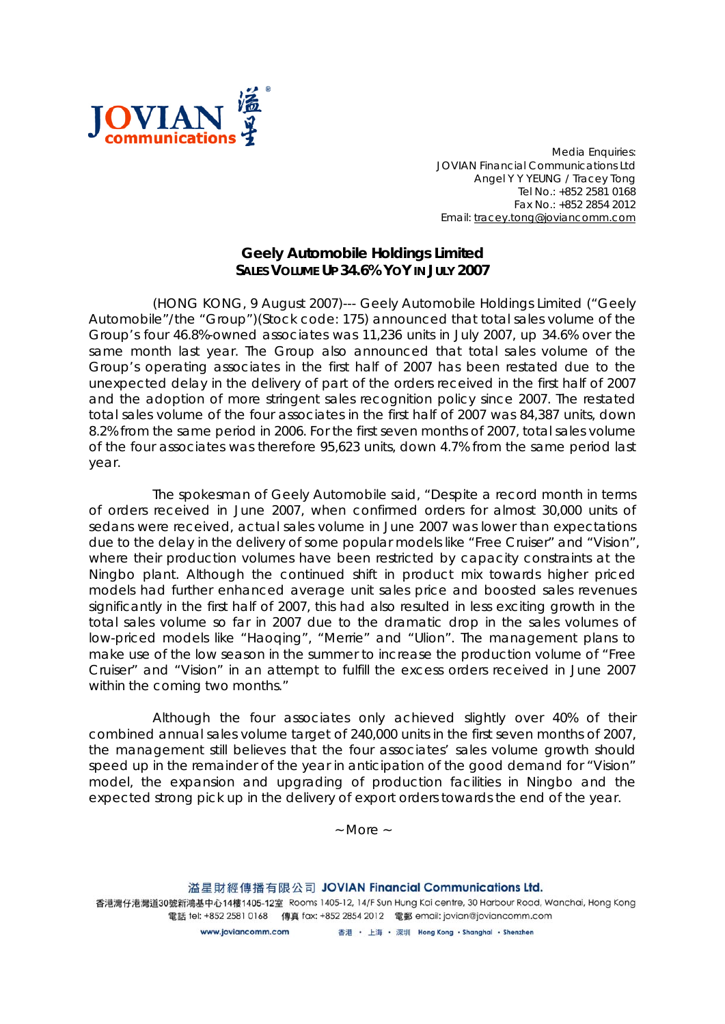

*Media Enquiries: JOVIAN Financial Communications Ltd Angel Y Y YEUNG / Tracey Tong Tel No.: +852 2581 0168 Fax No.: +852 2854 2012 Email: tracey.tong@joviancomm.com*

## **Geely Automobile Holdings Limited SALES VOLUME UP 34.6% YOY IN JULY 2007**

(HONG KONG, 9 August 2007)--- Geely Automobile Holdings Limited ("Geely Automobile"/the "Group")(Stock code: 175) announced that total sales volume of the Group's four 46.8%-owned associates was 11,236 units in July 2007, up 34.6% over the same month last year. The Group also announced that total sales volume of the Group's operating associates in the first half of 2007 has been restated due to the unexpected delay in the delivery of part of the orders received in the first half of 2007 and the adoption of more stringent sales recognition policy since 2007. The restated total sales volume of the four associates in the first half of 2007 was 84,387 units, down 8.2% from the same period in 2006. For the first seven months of 2007, total sales volume of the four associates was therefore 95,623 units, down 4.7% from the same period last year.

The spokesman of Geely Automobile said, "Despite a record month in terms of orders received in June 2007, when confirmed orders for almost 30,000 units of sedans were received, actual sales volume in June 2007 was lower than expectations due to the delay in the delivery of some popular models like "Free Cruiser" and "Vision", where their production volumes have been restricted by capacity constraints at the Ningbo plant. Although the continued shift in product mix towards higher priced models had further enhanced average unit sales price and boosted sales revenues significantly in the first half of 2007, this had also resulted in less exciting growth in the total sales volume so far in 2007 due to the dramatic drop in the sales volumes of low-priced models like "Haoqing", "Merrie" and "Ulion". The management plans to make use of the low season in the summer to increase the production volume of "Free Cruiser" and "Vision" in an attempt to fulfill the excess orders received in June 2007 within the coming two months."

Although the four associates only achieved slightly over 40% of their combined annual sales volume target of 240,000 units in the first seven months of 2007, the management still believes that the four associates' sales volume growth should speed up in the remainder of the year in anticipation of the good demand for "Vision" model, the expansion and upgrading of production facilities in Ningbo and the expected strong pick up in the delivery of export orders towards the end of the year.

*~ More ~*